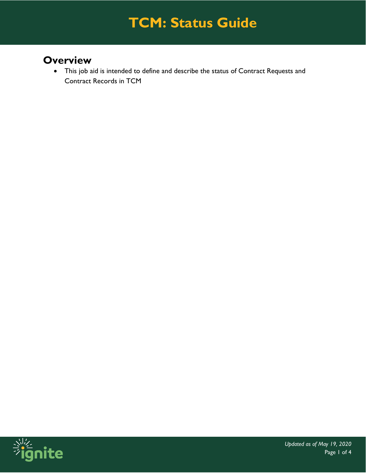### **Overview**

• This job aid is intended to define and describe the status of Contract Requests and Contract Records in TCM

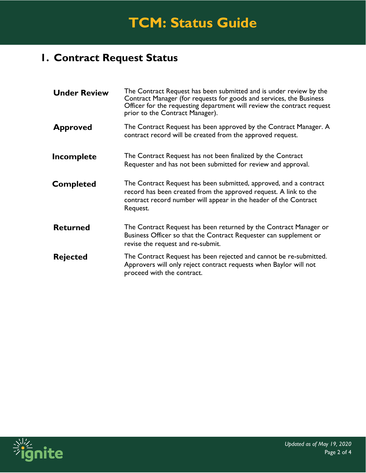### **1. Contract Request Status**

| <b>Under Review</b> | The Contract Request has been submitted and is under review by the<br>Contract Manager (for requests for goods and services, the Business<br>Officer for the requesting department will review the contract request<br>prior to the Contract Manager). |
|---------------------|--------------------------------------------------------------------------------------------------------------------------------------------------------------------------------------------------------------------------------------------------------|
| <b>Approved</b>     | The Contract Request has been approved by the Contract Manager. A<br>contract record will be created from the approved request.                                                                                                                        |
| Incomplete          | The Contract Request has not been finalized by the Contract<br>Requester and has not been submitted for review and approval.                                                                                                                           |
| <b>Completed</b>    | The Contract Request has been submitted, approved, and a contract<br>record has been created from the approved request. A link to the<br>contract record number will appear in the header of the Contract<br>Request.                                  |
| <b>Returned</b>     | The Contract Request has been returned by the Contract Manager or<br>Business Officer so that the Contract Requester can supplement or<br>revise the request and re-submit.                                                                            |
| <b>Rejected</b>     | The Contract Request has been rejected and cannot be re-submitted.<br>Approvers will only reject contract requests when Baylor will not<br>proceed with the contract.                                                                                  |

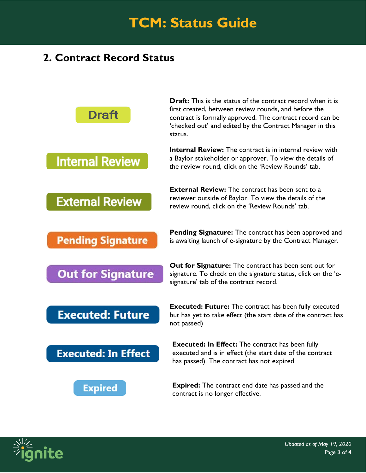#### **2. Contract Record Status**